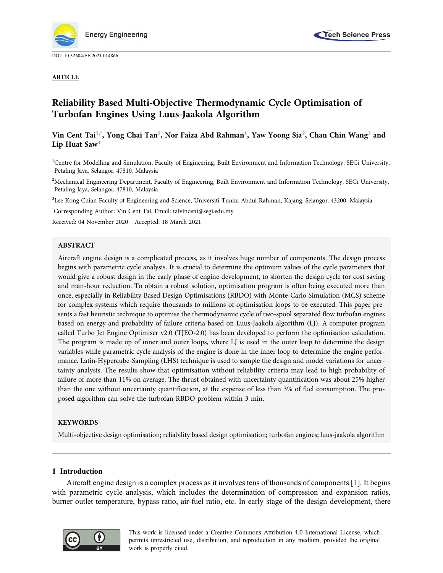

DOI: [10.32604/EE.2021.014866](http://dx.doi.org/10.32604/EE.2021.014866)

ARTICLE



# Reliability Based Multi-Objective Thermodynamic Cycle Optimisation of Turbofan Engines Using Luus-Jaakola Algorithm

# Vin Cent Tai<sup>1[,\\*](#page-0-1)</sup>, Yong Chai Tan<sup>[1](#page-0-0)</sup>, Nor Faiza Abd Rahman<sup>1</sup>, Yaw Yoong Sia<sup>[2](#page-0-2)</sup>, Chan Chin Wang<sup>2</sup> and Lip Huat Saw<sup>[3](#page-0-3)</sup>

<span id="page-0-0"></span><sup>1</sup>Centre for Modelling and Simulation, Faculty of Engineering, Built Environment and Information Technology, SEGi University, Petaling Jaya, Selangor, 47810, Malaysia

<span id="page-0-2"></span><sup>2</sup>Mechanical Engineering Department, Faculty of Engineering, Built Environment and Information Technology, SEGi University, Petaling Jaya, Selangor, 47810, Malaysia

<span id="page-0-3"></span><sup>3</sup>Lee Kong Chian Faculty of Engineering and Science, Universiti Tunku Abdul Rahman, Kajang, Selangor, 43200, Malaysia

<span id="page-0-1"></span>\* Corresponding Author: Vin Cent Tai. Email: [taivincent@segi.edu.my](mailto:taivincent@segi.edu.my)

Received: 04 November 2020 Accepted: 18 March 2021

#### ABSTRACT

Aircraft engine design is a complicated process, as it involves huge number of components. The design process begins with parametric cycle analysis. It is crucial to determine the optimum values of the cycle parameters that would give a robust design in the early phase of engine development, to shorten the design cycle for cost saving and man-hour reduction. To obtain a robust solution, optimisation program is often being executed more than once, especially in Reliability Based Design Optimisations (RBDO) with Monte-Carlo Simulation (MCS) scheme for complex systems which require thousands to millions of optimisation loops to be executed. This paper presents a fast heuristic technique to optimise the thermodynamic cycle of two-spool separated flow turbofan engines based on energy and probability of failure criteria based on Luus-Jaakola algorithm (LJ). A computer program called Turbo Jet Engine Optimiser v2.0 (TJEO-2.0) has been developed to perform the optimisation calculation. The program is made up of inner and outer loops, where LJ is used in the outer loop to determine the design variables while parametric cycle analysis of the engine is done in the inner loop to determine the engine performance. Latin-Hypercube-Sampling (LHS) technique is used to sample the design and model variations for uncertainty analysis. The results show that optimisation without reliability criteria may lead to high probability of failure of more than 11% on average. The thrust obtained with uncertainty quantification was about 25% higher than the one without uncertainty quantification, at the expense of less than 3% of fuel consumption. The proposed algorithm can solve the turbofan RBDO problem within 3 min.

## **KEYWORDS**

Multi-objective design optimisation; reliability based design optimisation; turbofan engines; luus-jaakola algorithm

## 1 Introduction

Aircraft engine design is a complex process as it involves tens of thousands of components [[1](#page-10-0)]. It begins with parametric cycle analysis, which includes the determination of compression and expansion ratios, burner outlet temperature, bypass ratio, air-fuel ratio, etc. In early stage of the design development, there



This work is licensed under a Creative Commons Attribution 4.0 International License, which permits unrestricted use, distribution, and reproduction in any medium, provided the original work is properly cited.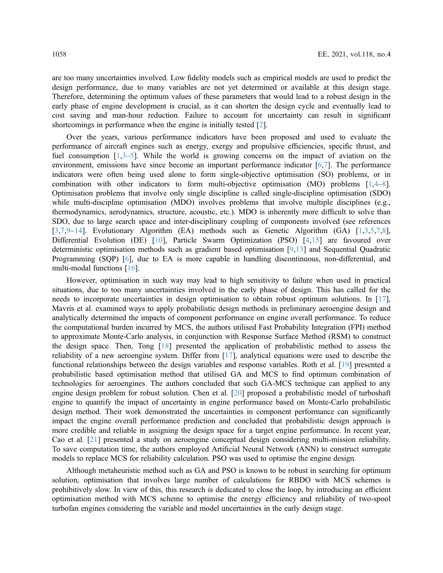are too many uncertainties involved. Low fidelity models such as empirical models are used to predict the design performance, due to many variables are not yet determined or available at this design stage. Therefore, determining the optimum values of these parameters that would lead to a robust design in the early phase of engine development is crucial, as it can shorten the design cycle and eventually lead to cost saving and man-hour reduction. Failure to account for uncertainty can result in significant shortcomings in performance when the engine is initially tested [\[2\]](#page-10-1).

Over the years, various performance indicators have been proposed and used to evaluate the performance of aircraft engines such as energy, exergy and propulsive efficiencies, specific thrust, and fuel consumption [[1](#page-10-0)[,3](#page-10-2)–[5](#page-10-3)]. While the world is growing concerns on the impact of aviation on the environment, emissions have since become an important performance indicator [\[6,](#page-10-4)[7](#page-10-5)]. The performance indicators were often being used alone to form single-objective optimisation (SO) problems, or in combination with other indicators to form multi-objective optimisation (MO) problems [\[1](#page-10-0)[,4](#page-10-6)–[8\]](#page-10-7). Optimisation problems that involve only single discipline is called single-discipline optimisation (SDO) while multi-discipline optimisation (MDO) involves problems that involve multiple disciplines (e.g., thermodynamics, aerodynamics, structure, acoustic, etc.). MDO is inherently more difficult to solve than SDO, due to large search space and inter-disciplinary coupling of components involved (see references [[3](#page-10-2),[7](#page-10-5),[9](#page-11-0)–[14\]](#page-11-1). Evolutionary Algorithm (EA) methods such as Genetic Algorithm (GA) [[1](#page-10-0),[3](#page-10-2),[5](#page-10-3)[,7](#page-10-5)[,8\]](#page-10-7), Differential Evolution (DE) [\[10\]](#page-11-2), Particle Swarm Optimization (PSO) [\[4,](#page-10-6)[15\]](#page-11-3) are favoured over deterministic optimisation methods such as gradient based optimisation [\[9,](#page-11-0)[13\]](#page-11-4) and Sequential Quadratic Programming (SQP) [[6](#page-10-4)], due to EA is more capable in handling discontinuous, non-differential, and multi-modal functions [[16\]](#page-11-5).

However, optimisation in such way may lead to high sensitivity to failure when used in practical situations, due to too many uncertainties involved in the early phase of design. This has called for the needs to incorporate uncertainties in design optimisation to obtain robust optimum solutions. In [[17\]](#page-11-6), Mavris et al. examined ways to apply probabilistic design methods in preliminary aeroengine design and analytically determined the impacts of component performance on engine overall performance. To reduce the computational burden incurred by MCS, the authors utilised Fast Probability Integration (FPI) method to approximate Monte-Carlo analysis, in conjunction with Response Surface Method (RSM) to construct the design space. Then, Tong [[18\]](#page-11-7) presented the application of probabilistic method to assess the reliability of a new aeroengine system. Differ from [[17\]](#page-11-6), analytical equations were used to describe the functional relationships between the design variables and response variables. Roth et al. [[19\]](#page-11-8) presented a probabilistic based optimisation method that utilised GA and MCS to find optimum combination of technologies for aeroengines. The authors concluded that such GA-MCS technique can applied to any engine design problem for robust solution. Chen et al. [\[20](#page-11-9)] proposed a probabilistic model of turboshaft engine to quantify the impact of uncertainty in engine performance based on Monte-Carlo probabilistic design method. Their work demonstrated the uncertainties in component performance can significantly impact the engine overall performance prediction and concluded that probabilistic design approach is more credible and reliable in assigning the design space for a target engine performance. In recent year, Cao et al. [\[21](#page-11-10)] presented a study on aeroengine conceptual design considering multi-mission reliability. To save computation time, the authors employed Artificial Neural Network (ANN) to construct surrogate models to replace MCS for reliability calculation. PSO was used to optimise the engine design.

Although metaheuristic method such as GA and PSO is known to be robust in searching for optimum solution, optimisation that involves large number of calculations for RBDO with MCS schemes is prohibitively slow. In view of this, this research is dedicated to close the loop, by introducing an efficient optimisation method with MCS scheme to optimise the energy efficiency and reliability of two-spool turbofan engines considering the variable and model uncertainties in the early design stage.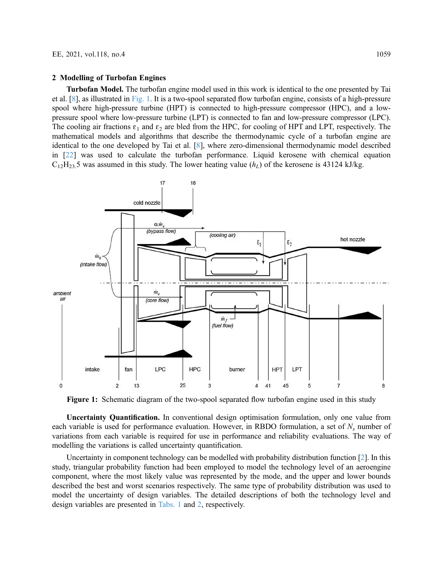#### 2 Modelling of Turbofan Engines

Turbofan Model. The turbofan engine model used in this work is identical to the one presented by Tai et al. [\[8\]](#page-10-7), as illustrated in [Fig. 1.](#page-2-0) It is a two-spool separated flow turbofan engine, consists of a high-pressure spool where high-pressure turbine (HPT) is connected to high-pressure compressor (HPC), and a lowpressure spool where low-pressure turbine (LPT) is connected to fan and low-pressure compressor (LPC). The cooling air fractions  $\varepsilon_1$  and  $\varepsilon_2$  are bled from the HPC, for cooling of HPT and LPT, respectively. The mathematical models and algorithms that describe the thermodynamic cycle of a turbofan engine are identical to the one developed by Tai et al. [\[8\]](#page-10-7), where zero-dimensional thermodynamic model described in [[22\]](#page-11-11) was used to calculate the turbofan performance. Liquid kerosene with chemical equation  $C_{12}H_{23}$ , 5 was assumed in this study. The lower heating value  $(h_L)$  of the kerosene is 43124 kJ/kg.

<span id="page-2-0"></span>

Figure 1: Schematic diagram of the two-spool separated flow turbofan engine used in this study

Uncertainty Quantification. In conventional design optimisation formulation, only one value from each variable is used for performance evaluation. However, in RBDO formulation, a set of  $N_s$  number of variations from each variable is required for use in performance and reliability evaluations. The way of modelling the variations is called uncertainty quantification.

Uncertainty in component technology can be modelled with probability distribution function [[2](#page-10-1)]. In this study, triangular probability function had been employed to model the technology level of an aeroengine component, where the most likely value was represented by the mode, and the upper and lower bounds described the best and worst scenarios respectively. The same type of probability distribution was used to model the uncertainty of design variables. The detailed descriptions of both the technology level and design variables are presented in [Tabs. 1](#page-3-0) and [2,](#page-3-1) respectively.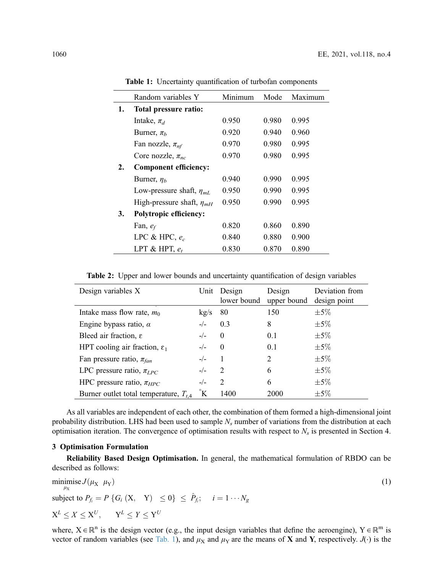|    | Random variables Y               | Minimum | Mode  | Maximum |  |
|----|----------------------------------|---------|-------|---------|--|
| 1. | Total pressure ratio:            |         |       |         |  |
|    | Intake, $\pi_d$                  | 0.950   | 0.980 | 0.995   |  |
|    | Burner, $\pi_b$                  | 0.920   | 0.940 | 0.960   |  |
|    | Fan nozzle, $\pi_{nf}$           | 0.970   | 0.980 | 0.995   |  |
|    | Core nozzle, $\pi_{nc}$          | 0.970   | 0.980 | 0.995   |  |
| 2. | <b>Component efficiency:</b>     |         |       |         |  |
|    | Burner, $\eta_b$                 | 0.940   | 0.990 | 0.995   |  |
|    | Low-pressure shaft, $\eta_{mL}$  | 0.950   | 0.990 | 0.995   |  |
|    | High-pressure shaft, $\eta_{mH}$ | 0.950   | 0.990 | 0.995   |  |
| 3. | <b>Polytropic efficiency:</b>    |         |       |         |  |
|    | Fan, $e_f$                       | 0.820   | 0.860 | 0.890   |  |
|    | LPC & HPC, $e_c$                 | 0.840   | 0.880 | 0.900   |  |
|    | LPT & HPT, $e_t$                 | 0.830   | 0.870 | 0.890   |  |

<span id="page-3-0"></span>Table 1: Uncertainty quantification of turbofan components

<span id="page-3-1"></span>Table 2: Upper and lower bounds and uncertainty quantification of design variables

| Design variables X                         |       | Unit Design<br>lower bound  | Design<br>upper bound | Deviation from<br>design point |
|--------------------------------------------|-------|-----------------------------|-----------------------|--------------------------------|
| Intake mass flow rate, $m_0$               | kg/s  | 80                          | 150                   | $\pm 5\%$                      |
| Engine bypass ratio, $\alpha$              | $-/-$ | 0.3                         | 8                     | $\pm 5\%$                      |
| Bleed air fraction, $\varepsilon$          | $-/-$ | $\theta$                    | 0.1                   | $\pm 5\%$                      |
| HPT cooling air fraction, $\varepsilon_1$  | $-/-$ | $\Omega$                    | 0.1                   | $\pm 5\%$                      |
| Fan pressure ratio, $\pi_{fan}$            | $-/-$ |                             | 2                     | $\pm 5\%$                      |
| LPC pressure ratio, $\pi_{LPC}$            | $-/-$ | 2                           | 6                     | $\pm 5\%$                      |
| HPC pressure ratio, $\pi_{HPC}$            | $-/-$ | $\mathcal{D}_{\mathcal{L}}$ | 6                     | $\pm$ 5\%                      |
| Burner outlet total temperature, $T_{t,4}$ |       | 1400                        | 2000                  | $\pm 5\%$                      |
|                                            |       |                             |                       |                                |

As all variables are independent of each other, the combination of them formed a high-dimensional joint probability distribution. LHS had been used to sample  $N_s$  number of variations from the distribution at each optimisation iteration. The convergence of optimisation results with respect to  $N_s$  is presented in Section 4.

#### 3 Optimisation Formulation

<span id="page-3-2"></span>Reliability Based Design Optimisation. In general, the mathematical formulation of RBDO can be described as follows:

$$
\begin{aligned}\n\min_{\mu_X} & \text{is } J(\mu_X \, \mu_Y) \\
\text{subject to } P_{f_i} &= P \left\{ G_i \left( X, \, Y \right) \le 0 \right\} \le \hat{P}_{f_i}; \quad i = 1 \cdots N_g \\
X^L &\le X \le X^U, \qquad Y^L \le Y \le Y^U\n\end{aligned} \tag{1}
$$

where,  $X \in \mathbb{R}^n$  is the design vector (e.g., the input design variables that define the aeroengine),  $Y \in \mathbb{R}^m$  is vector of random variables (see [Tab. 1\)](#page-3-0), and  $\mu_X$  and  $\mu_Y$  are the means of X and Y, respectively. J(·) is the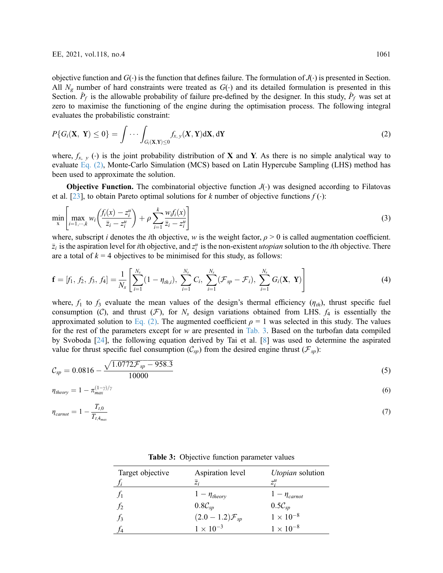objective function and  $G(\cdot)$  is the function that defines failure. The formulation of  $J(\cdot)$  is presented in Section. All  $N_g$  number of hard constraints were treated as  $G(\cdot)$  and its detailed formulation is presented in this Section.  $\hat{P}_f$  is the allowable probability of failure pre-defined by the designer. In this study,  $\hat{P}_f$  was set at zero to maximise the functioning of the engine during the optimisation process. The following integral evaluates the probabilistic constraint:

<span id="page-4-0"></span>
$$
P\{G_i(\mathbf{X}, \mathbf{Y}) \le 0\} = \int \cdots \int_{G_i(\mathbf{X}, \mathbf{Y}) \le 0} f_{x, y}(\mathbf{X}, \mathbf{Y}) d\mathbf{X}, d\mathbf{Y}
$$
\n(2)

where,  $f_{x, y}$  (⋅) is the joint probability distribution of **X** and **Y**. As there is no simple analytical way to evaluate [Eq. \(2\)](#page-4-0), Monte-Carlo Simulation (MCS) based on Latin Hypercube Sampling (LHS) method has been used to approximate the solution.

**Objective Function.** The combinatorial objective function  $J(\cdot)$  was designed according to Filatovas et al. [\[23](#page-11-12)], to obtain Pareto optimal solutions for k number of objective functions  $f(\cdot)$ :

$$
\min_{\mathbf{x}} \left[ \max_{i=1,\cdots,k} w_i \left( \frac{f_i(\mathbf{x}) - z_i^u}{\bar{z}_i - z_i^u} \right) + \rho \sum_{i=1}^k \frac{w_i f_i(\mathbf{x})}{\bar{z}_i - z_i^u} \right]
$$
(3)

<span id="page-4-2"></span>where, subscript *i* denotes the *i*th objective, *w* is the weight factor,  $\rho > 0$  is called augmentation coefficient.  $\bar{z}_i$  is the aspiration level for *i*th objective, and  $z_i^u$  is the non-existent *utopian* solution to the *i*th objective. There are a total of  $k = 4$  objectives to be minimised for this study, as follows:

$$
\mathbf{f} = [f_1, f_2, f_3, f_4] = \frac{1}{N_s} \left[ \sum_{i=1}^{N_s} (1 - \eta_{th,i}), \sum_{i=1}^{N_s} C_i, \sum_{i=1}^{N_s} (\mathcal{F}_{sp} - \mathcal{F}_i), \sum_{i=1}^{N_s} G_i(\mathbf{X}, \mathbf{Y}) \right]
$$
(4)

where,  $f_1$  to  $f_3$  evaluate the mean values of the design's thermal efficiency  $(\eta_{th})$ , thrust specific fuel consumption (C), and thrust (F), for  $N_s$  design variations obtained from LHS.  $f_4$  is essentially the approximated solution to [Eq. \(2\)](#page-4-0). The augmented coefficient  $\rho = 1$  was selected in this study. The values for the rest of the parameters except for  $w$  are presented in [Tab. 3](#page-4-1). Based on the turbofan data compiled by Svoboda [[24\]](#page-11-13), the following equation derived by Tai et al. [\[8\]](#page-10-7) was used to determine the aspirated value for thrust specific fuel consumption  $(\mathcal{C}_{sp})$  from the desired engine thrust  $(\mathcal{F}_{sp})$ :

$$
C_{sp} = 0.0816 - \frac{\sqrt{1.0772 \mathcal{F}_{sp} - 958.3}}{10000}
$$
\n(5)

$$
\eta_{theory} = 1 - \pi_{max}^{(1-\gamma)/\gamma} \tag{6}
$$

$$
\eta_{carnot} = 1 - \frac{T_{t,0}}{T_{t,4_{max}}} \tag{7}
$$

<span id="page-4-1"></span>

| Target objective | Aspiration level<br>$\bar{z}_i$ | <i>Utopian</i> solution<br>$z^{\mu}$                                    |
|------------------|---------------------------------|-------------------------------------------------------------------------|
|                  | $1 - \eta_{theory}$             | $1 - \eta_{carnot}$                                                     |
| $f_2$            | $0.8\mathcal{C}_{sp}$           |                                                                         |
| $\mathcal{I}_3$  | $(2.0 - 1.2) \mathcal{F}_{sp}$  | $\begin{array}{l} 0.5 \mathcal{C}_{sp} \\ 1 \times 10^{-8} \end{array}$ |
| f4               | $1 \times 10^{-3}$              | $1 \times 10^{-8}$                                                      |
|                  |                                 |                                                                         |

Table 3: Objective function parameter values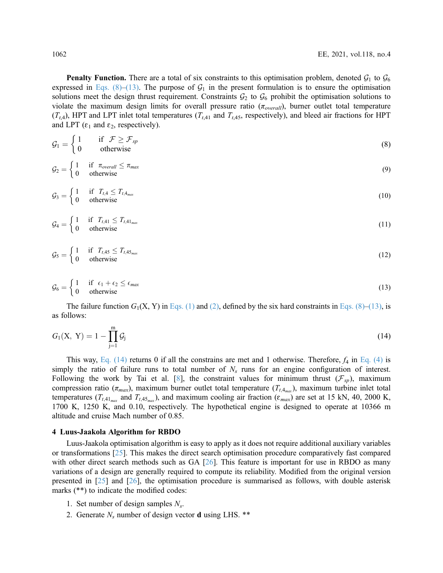**Penalty Function.** There are a total of six constraints to this optimisation problem, denoted  $\mathcal{G}_1$  to  $\mathcal{G}_6$ expressed in [Eqs. \(8\)](#page-5-0)–[\(13\).](#page-5-1) The purpose of  $\mathcal{G}_1$  in the present formulation is to ensure the optimisation solutions meet the design thrust requirement. Constraints  $G_2$  to  $G_6$  prohibit the optimisation solutions to violate the maximum design limits for overall pressure ratio  $(\pi_{overall})$ , burner outlet total temperature  $(T_{t,4})$ , HPT and LPT inlet total temperatures  $(T_{t,41}$  and  $T_{t,45}$ , respectively), and bleed air fractions for HPT and LPT ( $\varepsilon_1$  and  $\varepsilon_2$ , respectively).

<span id="page-5-0"></span>
$$
\mathcal{G}_1 = \begin{cases} 1 & \text{if } \mathcal{F} \ge \mathcal{F}_{sp} \\ 0 & \text{otherwise} \end{cases} \tag{8}
$$

$$
\mathcal{G}_2 = \begin{cases} 1 & \text{if } \pi_{\text{overall}} \le \pi_{\text{max}} \\ 0 & \text{otherwise} \end{cases}
$$
 (9)

$$
\mathcal{G}_3 = \begin{cases} 1 & \text{if } T_{t,4} \leq T_{t,4_{\text{max}}} \\ 0 & \text{otherwise} \end{cases} \tag{10}
$$

$$
\mathcal{G}_4 = \begin{cases} 1 & \text{if } T_{t,41} \leq T_{t,41_{\text{max}}} \\ 0 & \text{otherwise} \end{cases} \tag{11}
$$

<span id="page-5-1"></span>
$$
\mathcal{G}_5 = \begin{cases} 1 & \text{if } T_{t,45} \leq T_{t,45_{\text{max}}} \\ 0 & \text{otherwise} \end{cases} \tag{12}
$$

$$
\mathcal{G}_6 = \begin{cases} 1 & \text{if } \epsilon_1 + \epsilon_2 \le \epsilon_{\text{max}} \\ 0 & \text{otherwise} \end{cases} \tag{13}
$$

<span id="page-5-2"></span>The failure function  $G_1(X, Y)$  in [Eqs. \(1\)](#page-3-2) and [\(2\),](#page-4-0) defined by the six hard constraints in [Eqs. \(8\)](#page-5-0)–[\(13\),](#page-5-1) is as follows:

$$
G_1(X, Y) = 1 - \prod_{j=1}^{m} \mathcal{G}_j
$$
\n(14)

This way, [Eq. \(14\)](#page-5-2) returns 0 if all the constrains are met and 1 otherwise. Therefore,  $f_4$  in [Eq. \(4\)](#page-4-2) is simply the ratio of failure runs to total number of  $N<sub>s</sub>$  runs for an engine configuration of interest. Following the work by Tai et al. [[8](#page-10-7)], the constraint values for minimum thrust  $(\mathcal{F}_{sp})$ , maximum compression ratio ( $\pi_{max}$ ), maximum burner outlet total temperature ( $T_{t,4_{max}}$ ), maximum turbine inlet total temperatures ( $T_{t,41_{max}}$  and  $T_{t,45_{max}}$ ), and maximum cooling air fraction ( $\varepsilon_{max}$ ) are set at 15 kN, 40, 2000 K, 1700 K, 1250 K, and 0.10, respectively. The hypothetical engine is designed to operate at 10366 m altitude and cruise Mach number of 0.85.

#### 4 Luus-Jaakola Algorithm for RBDO

Luus-Jaakola optimisation algorithm is easy to apply as it does not require additional auxiliary variables or transformations [\[25](#page-11-14)]. This makes the direct search optimisation procedure comparatively fast compared with other direct search methods such as GA [[26\]](#page-11-15). This feature is important for use in RBDO as many variations of a design are generally required to compute its reliability. Modified from the original version presented in [\[25](#page-11-14)] and [\[26](#page-11-15)], the optimisation procedure is summarised as follows, with double asterisk marks (\*\*) to indicate the modified codes:

- 1. Set number of design samples  $N_s$ .
- 2. Generate  $N_s$  number of design vector **d** using LHS. \*\*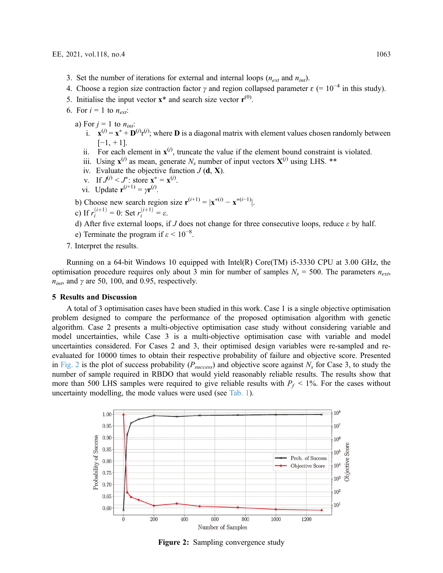- 3. Set the number of iterations for external and internal loops ( $n_{ext}$  and  $n_{int}$ ).
- 4. Choose a region size contraction factor  $\gamma$  and region collapsed parameter  $\varepsilon$  (= 10<sup>-4</sup> in this study).
- 5. Initialise the input vector  $\mathbf{x}^*$  and search size vector  $\mathbf{r}^{(0)}$ .
- 6. For  $i = 1$  to  $n_{ext}$ :
	- a) For  $j = 1$  to  $n_{int}$ :
		- i.  $\mathbf{x}^{(j)} = \mathbf{x}^* + \mathbf{D}^{(j)}\mathbf{r}^{(j)}$ ; where **D** is a diagonal matrix with element values chosen randomly between  $[-1, +1]$ .
		- ii. For each element in  $x^{(j)}$ , truncate the value if the element bound constraint is violated.
		- iii. Using  $\mathbf{x}^{(j)}$  as mean, generate N<sub>s</sub> number of input vectors  $\mathbf{X}^{(j)}$  using LHS. \*\*
		- iv. Evaluate the objective function  $J(\mathbf{d}, \mathbf{X})$ .
		- v. If  $J^{(j)} < J^*$ : store  $\mathbf{x}^* = \mathbf{x}^{(j)}$ .
		- vi. Update  $\mathbf{r}^{(j+1)} = \gamma \mathbf{r}^{(j)}$ .
	- b) Choose new search region size  $r^{(i+1)} = |x^{*(i)} x^{*(i-1)}|$ .
	- c) If  $r_i^{(i+1)} = 0$ : Set  $r_i^{(i+1)} = \varepsilon$ .
	- d) After five external loops, if J does not change for three consecutive loops, reduce  $\varepsilon$  by half.
	- e) Terminate the program if  $\varepsilon$  < 10<sup>-8</sup>.
- 7. Interpret the results.

Running on a 64-bit Windows 10 equipped with Intel(R) Core(TM) i5-3330 CPU at 3.00 GHz, the optimisation procedure requires only about 3 min for number of samples  $N_s = 500$ . The parameters  $n_{ext}$  $n_{int}$ , and  $\gamma$  are 50, 100, and 0.95, respectively.

## 5 Results and Discussion

A total of 3 optimisation cases have been studied in this work. Case 1 is a single objective optimisation problem designed to compare the performance of the proposed optimisation algorithm with genetic algorithm. Case 2 presents a multi-objective optimisation case study without considering variable and model uncertainties, while Case 3 is a multi-objective optimisation case with variable and model uncertainties considered. For Cases 2 and 3, their optimised design variables were re-sampled and reevaluated for 10000 times to obtain their respective probability of failure and objective score. Presented in [Fig. 2](#page-6-0) is the plot of success probability ( $P_{success}$ ) and objective score against  $N_s$  for Case 3, to study the number of sample required in RBDO that would yield reasonably reliable results. The results show that more than 500 LHS samples were required to give reliable results with  $P_f < 1\%$ . For the cases without uncertainty modelling, the mode values were used (see [Tab. 1\)](#page-3-0).

<span id="page-6-0"></span>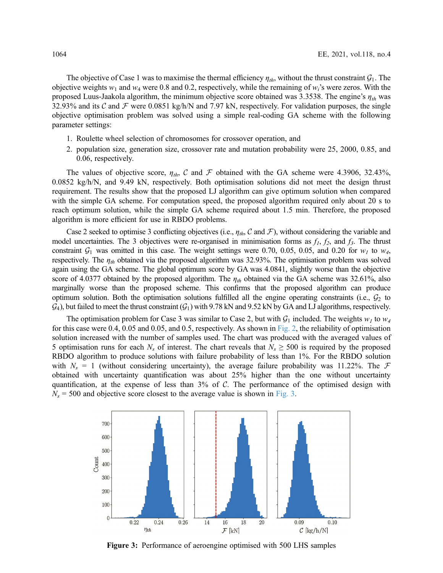The objective of Case 1 was to maximise the thermal efficiency  $\eta_{th}$ , without the thrust constraint  $\mathcal{G}_1$ . The objective weights  $w_1$  and  $w_4$  were 0.8 and 0.2, respectively, while the remaining of  $w_i$ 's were zeros. With the proposed Luus-Jaakola algorithm, the minimum objective score obtained was 3.3538. The engine's  $\eta_{th}$  was 32.93% and its C and F were 0.0851 kg/h/N and 7.97 kN, respectively. For validation purposes, the single objective optimisation problem was solved using a simple real-coding GA scheme with the following parameter settings:

- 1. Roulette wheel selection of chromosomes for crossover operation, and
- 2. population size, generation size, crossover rate and mutation probability were 25, 2000, 0.85, and 0.06, respectively.

The values of objective score,  $\eta_{th}$ , C and F obtained with the GA scheme were 4.3906, 32.43%, 0.0852 kg/h/N, and 9.49 kN, respectively. Both optimisation solutions did not meet the design thrust requirement. The results show that the proposed LJ algorithm can give optimum solution when compared with the simple GA scheme. For computation speed, the proposed algorithm required only about 20 s to reach optimum solution, while the simple GA scheme required about 1.5 min. Therefore, the proposed algorithm is more efficient for use in RBDO problems.

Case 2 seeked to optimise 3 conflicting objectives (i.e.,  $\eta_{th}$ , C and F), without considering the variable and model uncertainties. The 3 objectives were re-organised in minimisation forms as  $f_1$ ,  $f_2$ , and  $f_3$ . The thrust constraint  $G_1$  was omitted in this case. The weight settings were 0.70, 0.05, 0.05, and 0.20 for  $w_1$  to  $w_4$ , respectively. The  $\eta_{th}$  obtained via the proposed algorithm was 32.93%. The optimisation problem was solved again using the GA scheme. The global optimum score by GA was 4.0841, slightly worse than the objective score of 4.0377 obtained by the proposed algorithm. The  $\eta_{th}$  obtained via the GA scheme was 32.61%, also marginally worse than the proposed scheme. This confirms that the proposed algorithm can produce optimum solution. Both the optimisation solutions fulfilled all the engine operating constraints (i.e.,  $G_2$  to  $G_4$ ), but failed to meet the thrust constraint ( $G_1$ ) with 9.78 kN and 9.52 kN by GA and LJ algorithms, respectively.

The optimisation problem for Case 3 was similar to Case 2, but with  $\mathcal{G}_1$  included. The weights  $w_1$  to  $w_4$ for this case were 0.4, 0.05 and 0.05, and 0.5, respectively. As shown in [Fig. 2](#page-6-0), the reliability of optimisation solution increased with the number of samples used. The chart was produced with the averaged values of 5 optimisation runs for each  $N_s$  of interest. The chart reveals that  $N_s \ge 500$  is required by the proposed RBDO algorithm to produce solutions with failure probability of less than 1%. For the RBDO solution with  $N_s = 1$  (without considering uncertainty), the average failure probability was 11.22%. The  $\mathcal F$ obtained with uncertainty quantification was about 25% higher than the one without uncertainty quantification, at the expense of less than 3% of C. The performance of the optimised design with  $N_s$  = 500 and objective score closest to the average value is shown in [Fig. 3.](#page-7-0)

<span id="page-7-0"></span>

Figure 3: Performance of aeroengine optimised with 500 LHS samples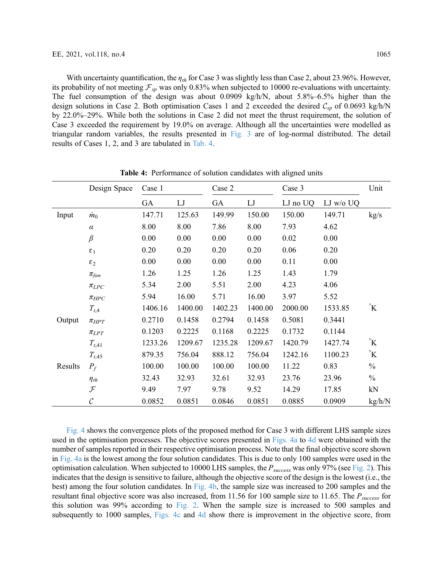With uncertainty quantification, the  $\eta_{th}$  for Case 3 was slightly less than Case 2, about 23.96%. However, its probability of not meeting  $\mathcal{F}_{sp}$  was only 0.83% when subjected to 10000 re-evaluations with uncertainty. The fuel consumption of the design was about 0.0909 kg/h/N, about 5.8%–6.5% higher than the design solutions in Case 2. Both optimisation Cases 1 and 2 exceeded the desired  $C_{sp}$  of 0.0693 kg/h/N by 22.0%–29%. While both the solutions in Case 2 did not meet the thrust requirement, the solution of Case 3 exceeded the requirement by 19.0% on average. Although all the uncertainties were modelled as triangular random variables, the results presented in [Fig. 3](#page-7-0) are of log-normal distributed. The detail results of Cases 1, 2, and 3 are tabulated in [Tab. 4.](#page-8-0)

<span id="page-8-0"></span>

|         | Design Space      | Case 1  |            | Case 2  |            | Case 3   |           | Unit          |
|---------|-------------------|---------|------------|---------|------------|----------|-----------|---------------|
|         |                   | GA      | ${\rm LJ}$ | GA      | ${\rm LJ}$ | LJ no UQ | LJ w/o UQ |               |
| Input   | $\dot{m}_0$       | 147.71  | 125.63     | 149.99  | 150.00     | 150.00   | 149.71    | kg/s          |
|         | $\alpha$          | 8.00    | 8.00       | 7.86    | 8.00       | 7.93     | 4.62      |               |
|         | $\beta$           | 0.00    | 0.00       | 0.00    | 0.00       | 0.02     | 0.00      |               |
|         | $\epsilon_1$      | 0.20    | 0.20       | 0.20    | 0.20       | 0.06     | 0.20      |               |
|         | $\epsilon_2$      | 0.00    | 0.00       | 0.00    | 0.00       | 0.11     | 0.00      |               |
|         | $\pi_{fan}$       | 1.26    | 1.25       | 1.26    | 1.25       | 1.43     | 1.79      |               |
|         | $\pi_{LPC}$       | 5.34    | 2.00       | 5.51    | 2.00       | 4.23     | 4.06      |               |
|         | $\pi_{HPC}$       | 5.94    | 16.00      | 5.71    | 16.00      | 3.97     | 5.52      |               |
|         | $T_{t,4}$         | 1406.16 | 1400.00    | 1402.23 | 1400.00    | 2000.00  | 1533.85   | $\mathbf{K}$  |
| Output  | $\pi_{HPT}$       | 0.2710  | 0.1458     | 0.2794  | 0.1458     | 0.5081   | 0.3441    |               |
|         | $\pi_{LPT}$       | 0.1203  | 0.2225     | 0.1168  | 0.2225     | 0.1732   | 0.1144    |               |
|         | $T_{t,41}$        | 1233.26 | 1209.67    | 1235.28 | 1209.67    | 1420.79  | 1427.74   | $\mathbf{K}$  |
|         | $T_{t,45}$        | 879.35  | 756.04     | 888.12  | 756.04     | 1242.16  | 1100.23   | $\mathbf{K}$  |
| Results | $P_f$             | 100.00  | 100.00     | 100.00  | 100.00     | 11.22    | 0.83      | $\frac{0}{0}$ |
|         | $\eta_{th}$       | 32.43   | 32.93      | 32.61   | 32.93      | 23.76    | 23.96     | $\frac{0}{0}$ |
|         | $\mathcal F$      | 9.49    | 7.97       | 9.78    | 9.52       | 14.29    | 17.85     | kN            |
|         | $\mathcal{C}_{0}$ | 0.0852  | 0.0851     | 0.0846  | 0.0851     | 0.0885   | 0.0909    | kg/h/N        |

Table 4: Performance of solution candidates with aligned units

[Fig. 4](#page-9-0) shows the convergence plots of the proposed method for Case 3 with different LHS sample sizes used in the optimisation processes. The objective scores presented in [Figs. 4a](#page-9-0) to [4d](#page-9-0) were obtained with the number of samples reported in their respective optimisation process. Note that the final objective score shown in [Fig. 4a](#page-9-0) is the lowest among the four solution candidates. This is due to only 100 samples were used in the optimisation calculation. When subjected to 10000 LHS samples, the  $P_{success}$  was only 97% (see [Fig. 2](#page-6-0)). This indicates that the design is sensitive to failure, although the objective score of the design is the lowest (i.e., the best) among the four solution candidates. In [Fig. 4b](#page-9-0), the sample size was increased to 200 samples and the resultant final objective score was also increased, from 11.56 for 100 sample size to 11.65. The  $P_{success}$  for this solution was 99% according to [Fig. 2](#page-6-0). When the sample size is increased to 500 samples and subsequently to 1000 samples, [Figs. 4c](#page-9-0) and [4d](#page-9-0) show there is improvement in the objective score, from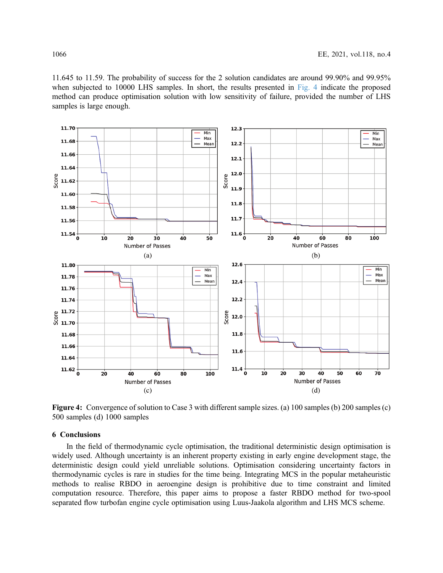11.645 to 11.59. The probability of success for the 2 solution candidates are around 99.90% and 99.95% when subjected to 10000 LHS samples. In short, the results presented in [Fig. 4](#page-9-0) indicate the proposed method can produce optimisation solution with low sensitivity of failure, provided the number of LHS samples is large enough.

<span id="page-9-0"></span>

Figure 4: Convergence of solution to Case 3 with different sample sizes. (a) 100 samples (b) 200 samples (c) 500 samples (d) 1000 samples

#### 6 Conclusions

In the field of thermodynamic cycle optimisation, the traditional deterministic design optimisation is widely used. Although uncertainty is an inherent property existing in early engine development stage, the deterministic design could yield unreliable solutions. Optimisation considering uncertainty factors in thermodynamic cycles is rare in studies for the time being. Integrating MCS in the popular metaheuristic methods to realise RBDO in aeroengine design is prohibitive due to time constraint and limited computation resource. Therefore, this paper aims to propose a faster RBDO method for two-spool separated flow turbofan engine cycle optimisation using Luus-Jaakola algorithm and LHS MCS scheme.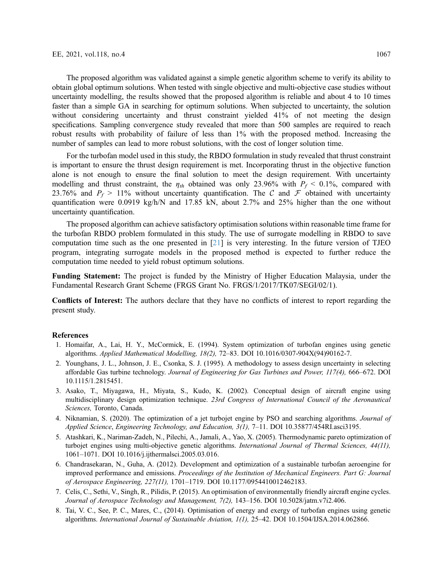The proposed algorithm was validated against a simple genetic algorithm scheme to verify its ability to obtain global optimum solutions. When tested with single objective and multi-objective case studies without uncertainty modelling, the results showed that the proposed algorithm is reliable and about 4 to 10 times faster than a simple GA in searching for optimum solutions. When subjected to uncertainty, the solution without considering uncertainty and thrust constraint yielded 41% of not meeting the design specifications. Sampling convergence study revealed that more than 500 samples are required to reach

For the turbofan model used in this study, the RBDO formulation in study revealed that thrust constraint is important to ensure the thrust design requirement is met. Incorporating thrust in the objective function alone is not enough to ensure the final solution to meet the design requirement. With uncertainty modelling and thrust constraint, the  $\eta_{th}$  obtained was only 23.96% with  $P_f < 0.1$ %, compared with 23.76% and  $P_f > 11\%$  without uncertainty quantification. The C and F obtained with uncertainty quantification were 0.0919 kg/h/N and 17.85 kN, about 2.7% and 25% higher than the one without uncertainty quantification.

robust results with probability of failure of less than 1% with the proposed method. Increasing the

number of samples can lead to more robust solutions, with the cost of longer solution time.

The proposed algorithm can achieve satisfactory optimisation solutions within reasonable time frame for the turbofan RBDO problem formulated in this study. The use of surrogate modelling in RBDO to save computation time such as the one presented in [\[21](#page-11-10)] is very interesting. In the future version of TJEO program, integrating surrogate models in the proposed method is expected to further reduce the computation time needed to yield robust optimum solutions.

Funding Statement: The project is funded by the Ministry of Higher Education Malaysia, under the Fundamental Research Grant Scheme (FRGS Grant No. FRGS/1/2017/TK07/SEGI/02/1).

Conflicts of Interest: The authors declare that they have no conflicts of interest to report regarding the present study.

#### **References**

- <span id="page-10-0"></span>1. Homaifar, A., Lai, H. Y., McCormick, E. (1994). System optimization of turbofan engines using genetic algorithms. Applied Mathematical Modelling, 18(2), 72–83. DOI [10.1016/0307-904X\(94\)90162-7.](http://dx.doi.org/10.1016/0307-904X(94)90162-7)
- <span id="page-10-1"></span>2. Younghans, J. L., Johnson, J. E., Csonka, S. J. (1995). A methodology to assess design uncertainty in selecting affordable Gas turbine technology. Journal of Engineering for Gas Turbines and Power, 117(4), 666–672. DOI [10.1115/1.2815451](http://dx.doi.org/10.1115/1.2815451).
- <span id="page-10-2"></span>3. Asako, T., Miyagawa, H., Miyata, S., Kudo, K. (2002). Conceptual design of aircraft engine using multidisciplinary design optimization technique. 23rd Congress of International Council of the Aeronautical Sciences, Toronto, Canada.
- <span id="page-10-6"></span>4. Niknamian, S. (2020). The optimization of a jet turbojet engine by PSO and searching algorithms. *Journal of* Applied Science, Engineering Technology, and Education, 3(1), 7–11. DOI [10.35877/454RI.asci3195.](http://dx.doi.org/10.35877/454RI.asci3195)
- <span id="page-10-3"></span>5. Atashkari, K., Nariman-Zadeh, N., Pilechi, A., Jamali, A., Yao, X. (2005). Thermodynamic pareto optimization of turbojet engines using multi-objective genetic algorithms. International Journal of Thermal Sciences, 44(11), 1061–1071. DOI [10.1016/j.ijthermalsci.2005.03.016.](http://dx.doi.org/10.1016/j.ijthermalsci.2005.03.016)
- <span id="page-10-4"></span>6. Chandrasekaran, N., Guha, A. (2012). Development and optimization of a sustainable turbofan aeroengine for improved performance and emissions. Proceedings of the Institution of Mechanical Engineers. Part G: Journal of Aerospace Engineering, 227(11), 1701–1719. DOI [10.1177/0954410012462183.](http://dx.doi.org/10.1177/0954410012462183)
- <span id="page-10-5"></span>7. Celis, C., Sethi, V., Singh, R., Pilidis, P. (2015). An optimisation of environmentally friendly aircraft engine cycles. Journal of Aerospace Technology and Management, 7(2), 143–156. DOI [10.5028/jatm.v7i2.406](http://dx.doi.org/10.5028/jatm.v7i2.406).
- <span id="page-10-7"></span>8. Tai, V. C., See, P. C., Mares, C., (2014). Optimisation of energy and exergy of turbofan engines using genetic algorithms. International Journal of Sustainable Aviation, 1(1), 25–42. DOI [10.1504/IJSA.2014.062866](http://dx.doi.org/10.1504/IJSA.2014.062866).